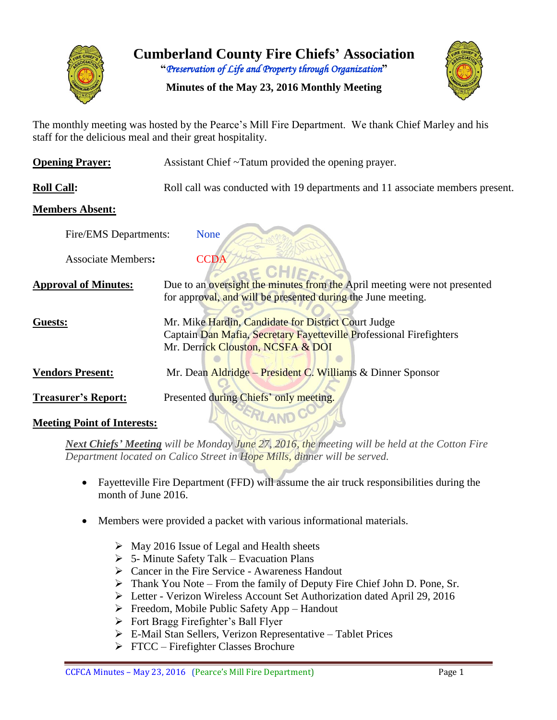

**Cumberland County Fire Chiefs' Association**

**"***Preservation of Life and Property through Organization***"**

#### **Minutes of the May 23, 2016 Monthly Meeting**



The monthly meeting was hosted by the Pearce's Mill Fire Department. We thank Chief Marley and his staff for the delicious meal and their great hospitality.

| <b>Opening Prayer:</b>             | Assistant Chief ~Tatum provided the opening prayer.                                                                                                             |  |  |  |  |  |  |  |
|------------------------------------|-----------------------------------------------------------------------------------------------------------------------------------------------------------------|--|--|--|--|--|--|--|
| <b>Roll Call:</b>                  | Roll call was conducted with 19 departments and 11 associate members present.                                                                                   |  |  |  |  |  |  |  |
| <b>Members Absent:</b>             |                                                                                                                                                                 |  |  |  |  |  |  |  |
| Fire/EMS Departments:              | <b>None</b>                                                                                                                                                     |  |  |  |  |  |  |  |
| <b>Associate Members:</b>          | <b>CCDA</b>                                                                                                                                                     |  |  |  |  |  |  |  |
| <b>Approval of Minutes:</b>        | Due to an oversight the minutes from the April meeting were not presented<br>for approval, and will be presented during the June meeting.                       |  |  |  |  |  |  |  |
| Guests:                            | Mr. Mike Hardin, Candidate for District Court Judge<br>Captain Dan Mafia, Secretary Fayetteville Professional Firefighters<br>Mr. Derrick Clouston, NCSFA & DOI |  |  |  |  |  |  |  |
| <b>Vendors Present:</b>            | Mr. Dean Aldridge – President C. Williams & Dinner Sponsor                                                                                                      |  |  |  |  |  |  |  |
| <b>Treasurer's Report:</b>         | Presented during Chiefs' only meeting.                                                                                                                          |  |  |  |  |  |  |  |
| <b>Meeting Point of Interests:</b> |                                                                                                                                                                 |  |  |  |  |  |  |  |

*Next Chiefs' Meeting will be Monday June 27, 2016, the meeting will be held at the Cotton Fire Department located on Calico Street in Hope Mills, dinner will be served.*

- Fayetteville Fire Department (FFD) will assume the air truck responsibilities during the month of June 2016.
- Members were provided a packet with various informational materials.
	- $\triangleright$  May 2016 Issue of Legal and Health sheets
	- $\triangleright$  5- Minute Safety Talk Evacuation Plans
	- Cancer in the Fire Service Awareness Handout
	- Thank You Note From the family of Deputy Fire Chief John D. Pone, Sr.
	- Letter Verizon Wireless Account Set Authorization dated April 29, 2016
	- $\triangleright$  Freedom, Mobile Public Safety App Handout
	- $\triangleright$  Fort Bragg Firefighter's Ball Flyer
	- E-Mail Stan Sellers, Verizon Representative Tablet Prices
	- $\triangleright$  FTCC Firefighter Classes Brochure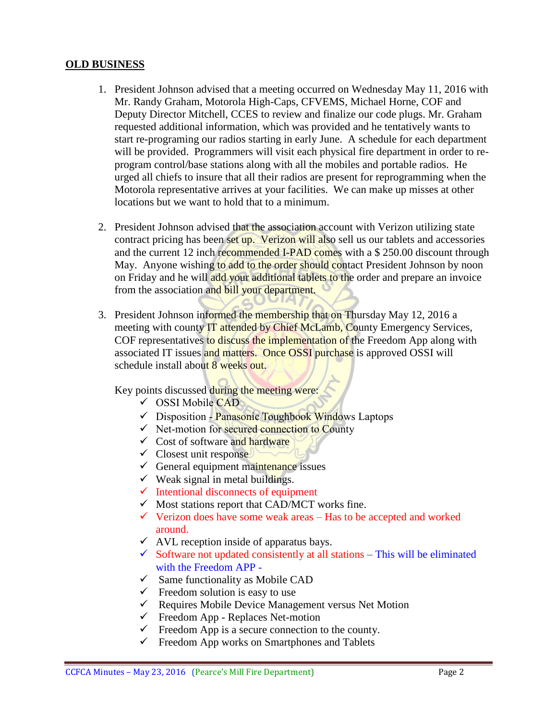#### **OLD BUSINESS**

- 1. President Johnson advised that a meeting occurred on Wednesday May 11, 2016 with Mr. Randy Graham, Motorola High-Caps, CFVEMS, Michael Horne, COF and Deputy Director Mitchell, CCES to review and finalize our code plugs. Mr. Graham requested additional information, which was provided and he tentatively wants to start re-programing our radios starting in early June. A schedule for each department will be provided. Programmers will visit each physical fire department in order to reprogram control/base stations along with all the mobiles and portable radios. He urged all chiefs to insure that all their radios are present for reprogramming when the Motorola representative arrives at your facilities. We can make up misses at other locations but we want to hold that to a minimum.
- 2. President Johnson advised that the association account with Verizon utilizing state contract pricing has been set up. Verizon will also sell us our tablets and accessories and the current 12 inch recommended I-PAD comes with a \$ 250.00 discount through May. Anyone wishing to add to the order should contact President Johnson by noon on Friday and he will add your additional tablets to the order and prepare an invoice from the association and bill your department.
- 3. President Johnson informed the membership that on Thursday May 12, 2016 a meeting with county **IT attended by Chief McLamb, County Emergency Services**, COF representatives to discuss the implementation of the Freedom App along with associated IT issues and matters. Once OSSI purchase is approved OSSI will schedule install about 8 weeks out.

Key points discussed during the meeting were:

- $\checkmark$  OSSI Mobile CAD
- $\checkmark$  Disposition Panasonic Toughbook Windows Laptops
- $\checkmark$  Net-motion for secured connection to County
- $\checkmark$  Cost of software and hardware
- $\checkmark$  Closest unit response
- $\checkmark$  General equipment maintenance issues
- $\checkmark$  Weak signal in metal buildings.
- $\checkmark$  Intentional disconnects of equipment
- $\checkmark$  Most stations report that CAD/MCT works fine.
- $\checkmark$  Verizon does have some weak areas Has to be accepted and worked around.
- $\checkmark$  AVL reception inside of apparatus bays.
- $\checkmark$  Software not updated consistently at all stations This will be eliminated with the Freedom APP -
- $\checkmark$  Same functionality as Mobile CAD
- $\checkmark$  Freedom solution is easy to use
- $\checkmark$  Requires Mobile Device Management versus Net Motion
- $\checkmark$  Freedom App Replaces Net-motion
- $\checkmark$  Freedom App is a secure connection to the county.
- $\checkmark$  Freedom App works on Smartphones and Tablets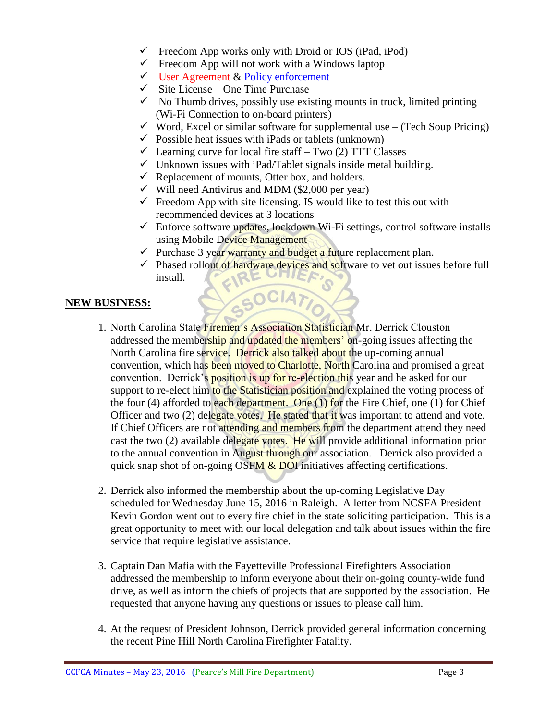- $\checkmark$  Freedom App works only with Droid or IOS (iPad, iPod)
- $\checkmark$  Freedom App will not work with a Windows laptop
- $\checkmark$  User Agreement & Policy enforcement
- $\checkmark$  Site License One Time Purchase
- $\checkmark$  No Thumb drives, possibly use existing mounts in truck, limited printing (Wi-Fi Connection to on-board printers)
- $\checkmark$  Word, Excel or similar software for supplemental use (Tech Soup Pricing)
- $\checkmark$  Possible heat issues with iPads or tablets (unknown)
- $\checkmark$  Learning curve for local fire staff Two (2) TTT Classes
- $\checkmark$  Unknown issues with iPad/Tablet signals inside metal building.
- $\checkmark$  Replacement of mounts, Otter box, and holders.
- $\checkmark$  Will need Antivirus and MDM (\$2,000 per year)
- $\checkmark$  Freedom App with site licensing. IS would like to test this out with recommended devices at 3 locations
- $\checkmark$  Enforce software updates, lockdown Wi-Fi settings, control software installs using Mobile Device Management
- $\checkmark$  Purchase 3 year warranty and budget a future replacement plan.

GOCIATI

 $\checkmark$  Phased rollout of hardware devices and software to vet out issues before full install. install.

#### **NEW BUSINESS:**

- 1. North Carolina State Firemen's Association Statistician Mr. Derrick Clouston addressed the membership and updated the members' on-going issues affecting the North Carolina fire service. Derrick also talked about the up-coming annual convention, which has been moved to Charlotte, North Carolina and promised a great convention. Derrick's **position** is up for re-election this year and he asked for our support to re-elect him to the Statistician position and explained the voting process of the four (4) afforded to each department. One  $(1)$  for the Fire Chief, one  $(1)$  for Chief Officer and two (2) delegate votes. He stated that it was important to attend and vote. If Chief Officers are not attending and members from the department attend they need cast the two (2) available delegate votes. He will provide additional information prior to the annual convention in August through our association. Derrick also provided a quick snap shot of on-going  $\overline{OSFM} \& \overline{DOI}$  initiatives affecting certifications.
- 2. Derrick also informed the membership about the up-coming Legislative Day scheduled for Wednesday June 15, 2016 in Raleigh. A letter from NCSFA President Kevin Gordon went out to every fire chief in the state soliciting participation. This is a great opportunity to meet with our local delegation and talk about issues within the fire service that require legislative assistance.
- 3. Captain Dan Mafia with the Fayetteville Professional Firefighters Association addressed the membership to inform everyone about their on-going county-wide fund drive, as well as inform the chiefs of projects that are supported by the association. He requested that anyone having any questions or issues to please call him.
- 4. At the request of President Johnson, Derrick provided general information concerning the recent Pine Hill North Carolina Firefighter Fatality.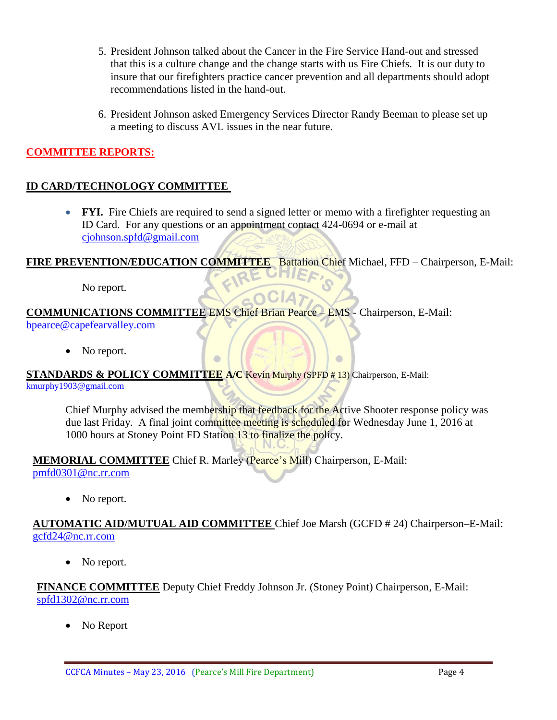- 5. President Johnson talked about the Cancer in the Fire Service Hand-out and stressed that this is a culture change and the change starts with us Fire Chiefs. It is our duty to insure that our firefighters practice cancer prevention and all departments should adopt recommendations listed in the hand-out.
- 6. President Johnson asked Emergency Services Director Randy Beeman to please set up a meeting to discuss AVL issues in the near future.

#### **COMMITTEE REPORTS:**

#### **ID CARD/TECHNOLOGY COMMITTEE**

• **FYI.** Fire Chiefs are required to send a signed letter or memo with a firefighter requesting an ID Card. For any questions or an appointment contact 424-0694 or e-mail at [cjohnson.spfd@gmail.com](mailto:cjohnson.spfd@gmail.com)

**FIRE PREVENTION/EDUCATION COMMITTEE** Battalion Chief Michael, FFD – Chairperson, E-Mail:

**GOCIA** 

No report.

**COMMUNICATIONS COMMITTEE** EMS Chief Brian Pearce – EMS - Chairperson, E-Mail: bpearce@capefearvalley.com

• No report.

**STANDARDS & POLICY COMMITTEE A/C** Kevin Murphy (SPFD # 13) Chairperson, E-Mail: [kmurphy1903@gmail.com](mailto:kmurphy1903@gmail.com)

Chief Murphy advised the membership that feedback for the Active Shooter response policy was due last Friday. A final joint committee meeting is scheduled for Wednesday June 1, 2016 at 1000 hours at Stoney Point FD Station 13 to finalize the policy.

 $\blacksquare$ 

**MEMORIAL COMMITTEE** Chief R. Marley (Pearce's Mill) Chairperson, E-Mail: [pmfd0301@nc.rr.com](mailto:pmfd0301@nc.rr.com)

• No report.

**AUTOMATIC AID/MUTUAL AID COMMITTEE** Chief Joe Marsh (GCFD # 24) Chairperson–E-Mail: gcfd24@nc.rr.com

• No report.

**FINANCE COMMITTEE** Deputy Chief Freddy Johnson Jr. (Stoney Point) Chairperson, E-Mail: [spfd1302@nc.rr.com](mailto:spfd1302@nc.rr.com)

• No Report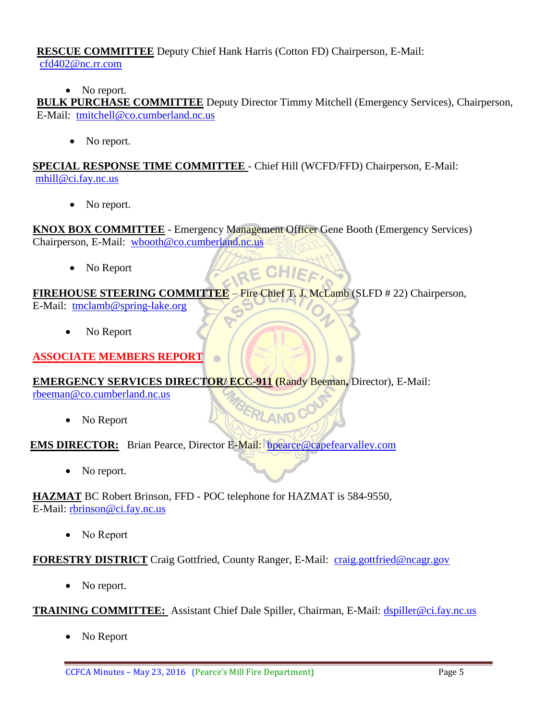#### **RESCUE COMMITTEE** Deputy Chief Hank Harris (Cotton FD) Chairperson, E-Mail: [cfd402@nc.rr.com](mailto:cfd402@nc.rr.com)

• No report.

**BULK PURCHASE COMMITTEE** Deputy Director Timmy Mitchell (Emergency Services), Chairperson, E-Mail: [tmitchell@co.cumberland.nc.us](mailto:tmitchell@co.cumberland.nc.us)

• No report.

**SPECIAL RESPONSE TIME COMMITTEE** - Chief Hill (WCFD/FFD) Chairperson, E-Mail: [mhill@ci.fay.nc.us](mailto:mhill@ci.fay.nc.us)

• No report.

**KNOX BOX COMMITTEE** - Emergency Management Officer Gene Booth (Emergency Services) Chairperson, E-Mail: [wbooth@co.cumberland.nc.us](mailto:wbooth@co.cumberland.nc.us)

RE CHIEF

ERLAND C

 $\Box$ 

• No Report

**FIREHOUSE STEERING COMMITTEE** – Fire Chief T. J. McLamb (SLFD # 22) Chairperson,

E-Mail: [tmclamb@spring-lake.org](mailto:tmclamb@spring-lake.org)

No Report

**ASSOCIATE MEMBERS REPORT**

#### **EMERGENCY SERVICES DIRECTOR/ ECC-911 (**Randy Beeman**,** Director), E-Mail:

[rbeeman@co.cumberland.nc.us](mailto:rbeeman@co.cumberland.nc.us)

• No Report

**EMS DIRECTOR:** Brian Pearce, Director E-Mail: bpearce@capefearvalley.com

 $\sqrt{2}$ 

• No report.

**HAZMAT** BC Robert Brinson, FFD - POC telephone for HAZMAT is 584-9550, E-Mail: [rbrinson@ci.fay.nc.us](mailto:rbrinson@ci.fay.nc.us)

• No Report

**FORESTRY DISTRICT** Craig Gottfried, County Ranger, E-Mail: [craig.gottfried@ncagr.gov](mailto:craig.gottfried@ncagr.gov)

• No report.

**TRAINING COMMITTEE:** Assistant Chief Dale Spiller, Chairman, E-Mail: [dspiller@ci.fay.nc.us](mailto:dspiller@ci.fay.nc.us)

No Report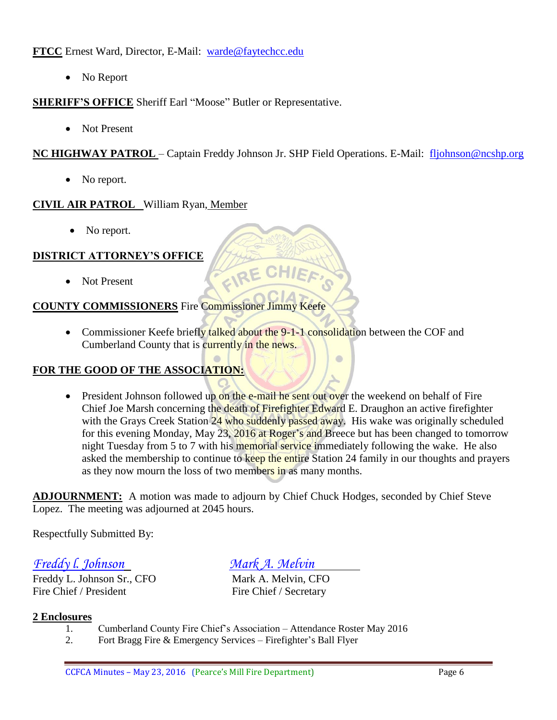**FTCC** Ernest Ward, Director, E-Mail: [warde@faytechcc.edu](mailto:warde@faytechcc.edu)

• No Report

#### **SHERIFF'S OFFICE** Sheriff Earl "Moose" Butler or Representative.

• Not Present

**NC HIGHWAY PATROL** – Captain Freddy Johnson Jr. SHP Field Operations. E-Mail: [fljohnson@ncshp.org](mailto:fljohnson@ncshp.org)

• No report.

#### **CIVIL AIR PATROL** William Ryan, Member

• No report.

#### **DISTRICT ATTORNEY'S OFFICE**

Not Present

#### **COUNTY COMMISSIONERS** Fire Commissioner Jimmy Keefe

• Commissioner Keefe briefly talked about the 9-1-1 consolidation between the COF and Cumberland County that is currently in the news.

FIRE

#### **FOR THE GOOD OF THE ASSOCIATION:**

• President Johnson followed up on the e-mail he sent out over the weekend on behalf of Fire Chief Joe Marsh concerning the death of Firefighter Edward E. Draughon an active firefighter with the Grays Creek Station 24 who suddenly passed away. His wake was originally scheduled for this evening Monday, May 23, 2016 at Roger's and Breece but has been changed to tomorrow night Tuesday from 5 to 7 with his memorial service immediately following the wake. He also asked the membership to continue to keep the entire Station 24 family in our thoughts and prayers as they now mourn the loss of two members in as many months.

 $\bullet$ 

**ADJOURNMENT:** A motion was made to adjourn by Chief Chuck Hodges, seconded by Chief Steve Lopez. The meeting was adjourned at 2045 hours.

Respectfully Submitted By:

*Freddy l. Johnson Mark A. Melvin*

Freddy L. Johnson Sr., CFO Mark A. Melvin, CFO Fire Chief / President Fire Chief / Secretary

#### **2 Enclosures**

- 1. Cumberland County Fire Chief's Association Attendance Roster May 2016
- 2. Fort Bragg Fire & Emergency Services Firefighter's Ball Flyer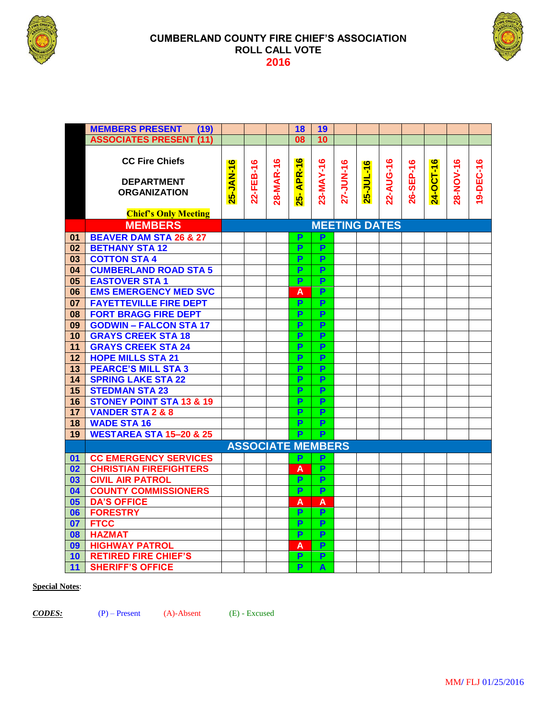

#### **CUMBERLAND COUNTY FIRE CHIEF'S ASSOCIATION ROLL CALL VOTE**



|                 | <b>MEMBERS PRESENT</b><br>(19)                                    |                      |           |           | 18                       | 19                      |           |           |           |           |           |           |           |
|-----------------|-------------------------------------------------------------------|----------------------|-----------|-----------|--------------------------|-------------------------|-----------|-----------|-----------|-----------|-----------|-----------|-----------|
|                 | <b>ASSOCIATES PRESENT (11)</b>                                    |                      |           |           | 08                       | 10                      |           |           |           |           |           |           |           |
|                 | <b>CC Fire Chiefs</b><br><b>DEPARTMENT</b><br><b>ORGANIZATION</b> | 25-JAN-16            | 22-FEB-16 | 28-MAR-16 | APR-16<br>25-            | 23-MAY-16               | 27-JUN-16 | 25-JUL-16 | 22-AUG-16 | 26-SEP-16 | 24-OCT-16 | 28-NOV-16 | 19-DEC-16 |
|                 | <b>Chief's Only Meeting</b>                                       |                      |           |           |                          |                         |           |           |           |           |           |           |           |
|                 | <b>MEMBERS</b>                                                    | <b>MEETING DATES</b> |           |           |                          |                         |           |           |           |           |           |           |           |
| 01              | <b>BEAVER DAM STA 26 &amp; 27</b>                                 |                      |           |           | P                        | P                       |           |           |           |           |           |           |           |
| 02              | <b>BETHANY STA12</b>                                              |                      |           |           | P                        | P                       |           |           |           |           |           |           |           |
| 03              | <b>COTTON STA 4</b>                                               |                      |           |           | P                        | $\overline{P}$          |           |           |           |           |           |           |           |
| 04              | <b>CUMBERLAND ROAD STA 5</b>                                      |                      |           |           | P                        | P                       |           |           |           |           |           |           |           |
| 05              | <b>EASTOVER STA1</b>                                              |                      |           |           | P                        | $\overline{P}$          |           |           |           |           |           |           |           |
| 06              | <b>EMS EMERGENCY MED SVC</b>                                      |                      |           |           | A                        | P                       |           |           |           |           |           |           |           |
| 07              | <b>FAYETTEVILLE FIRE DEPT</b>                                     |                      |           |           | P                        | P                       |           |           |           |           |           |           |           |
| 08              | <b>FORT BRAGG FIRE DEPT</b>                                       |                      |           |           | P                        | P                       |           |           |           |           |           |           |           |
| 09              | <b>GODWIN - FALCON STA 17</b>                                     |                      |           |           | P                        | P                       |           |           |           |           |           |           |           |
| 10              | <b>GRAYS CREEK STA 18</b>                                         |                      |           |           | P                        | P                       |           |           |           |           |           |           |           |
| $\overline{11}$ | <b>GRAYS CREEK STA 24</b>                                         |                      |           |           | P                        | P                       |           |           |           |           |           |           |           |
| $\overline{12}$ | <b>HOPE MILLS STA 21</b>                                          |                      |           |           | P                        | $\overline{P}$          |           |           |           |           |           |           |           |
| 13              | <b>PEARCE'S MILL STA 3</b>                                        |                      |           |           | P                        | $\overline{\mathsf{P}}$ |           |           |           |           |           |           |           |
| 14              | <b>SPRING LAKE STA 22</b>                                         |                      |           |           | P                        | $\overline{P}$          |           |           |           |           |           |           |           |
| 15              | <b>STEDMAN STA 23</b>                                             |                      |           |           | P                        | P                       |           |           |           |           |           |           |           |
| 16              | <b>STONEY POINT STA 13 &amp; 19</b>                               |                      |           |           | P                        | P                       |           |           |           |           |           |           |           |
| 17              | <b>VANDER STA 2 &amp; 8</b>                                       |                      |           |           | P                        | P                       |           |           |           |           |           |           |           |
| 18              | <b>WADE STA 16</b>                                                |                      |           |           | P                        | $\overline{P}$          |           |           |           |           |           |           |           |
| 19              | <b>WESTAREA STA 15-20 &amp; 25</b>                                |                      |           |           | $\overline{P}$           | P                       |           |           |           |           |           |           |           |
|                 |                                                                   |                      |           |           | <b>ASSOCIATE MEMBERS</b> |                         |           |           |           |           |           |           |           |
| 01              | <b>CC EMERGENCY SERVICES</b>                                      |                      |           |           | P                        | P                       |           |           |           |           |           |           |           |
| 02              | <b>CHRISTIAN FIREFIGHTERS</b>                                     |                      |           |           | A                        | P                       |           |           |           |           |           |           |           |
| 03              | <b>CIVIL AIR PATROL</b>                                           |                      |           |           | P                        | P                       |           |           |           |           |           |           |           |
| 04              | <b>COUNTY COMMISSIONERS</b>                                       |                      |           |           | P                        | P                       |           |           |           |           |           |           |           |
| 05              | <b>DA'S OFFICE</b>                                                |                      |           |           | A                        | A                       |           |           |           |           |           |           |           |
| 06              | <b>FORESTRY</b>                                                   |                      |           |           | P                        | $\overline{P}$          |           |           |           |           |           |           |           |
| 07              | <b>FTCC</b>                                                       |                      |           |           | P                        | $\overline{P}$          |           |           |           |           |           |           |           |
| 08              | <b>HAZMAT</b>                                                     |                      |           |           | P                        | $\overline{P}$          |           |           |           |           |           |           |           |
| 09              | <b>HIGHWAY PATROL</b>                                             |                      |           |           | A                        | P                       |           |           |           |           |           |           |           |
| 10 <sub>1</sub> | <b>RETIRED FIRE CHIEF'S</b>                                       |                      |           |           | P                        | $\overline{P}$          |           |           |           |           |           |           |           |
| 11              | <b>SHERIFF'S OFFICE</b>                                           |                      |           |           | P                        | A                       |           |           |           |           |           |           |           |

#### **Special Notes**:

*CODES:* (P) – Present (A)-Absent (E) - Excused